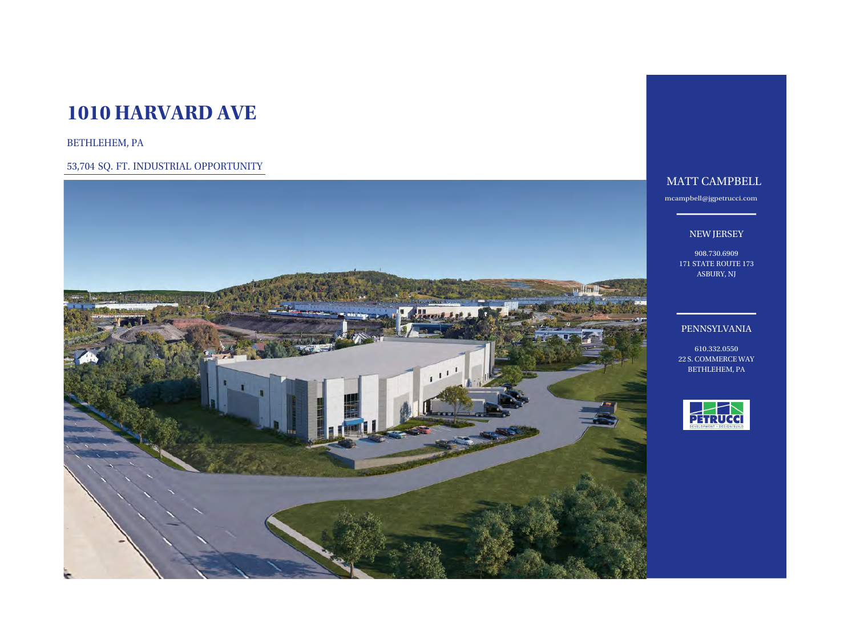# **1010 HARVARD AVE**

BETHLEHEM, PA

53,704 SQ. FT. INDUSTRIAL OPPORTUNITY



# MATT CAMPBELL

mc[ampbell@jgpetrucci.com](mailto:jcorreia@jgpetrucci.com)

# NEW JERSEY

908.730.6909 171 STATE ROUTE 173 ASBURY, NJ

# PENNSYLVANIA

610.332.0550 22 S. COMMERCE WAY BETHLEHEM, PA

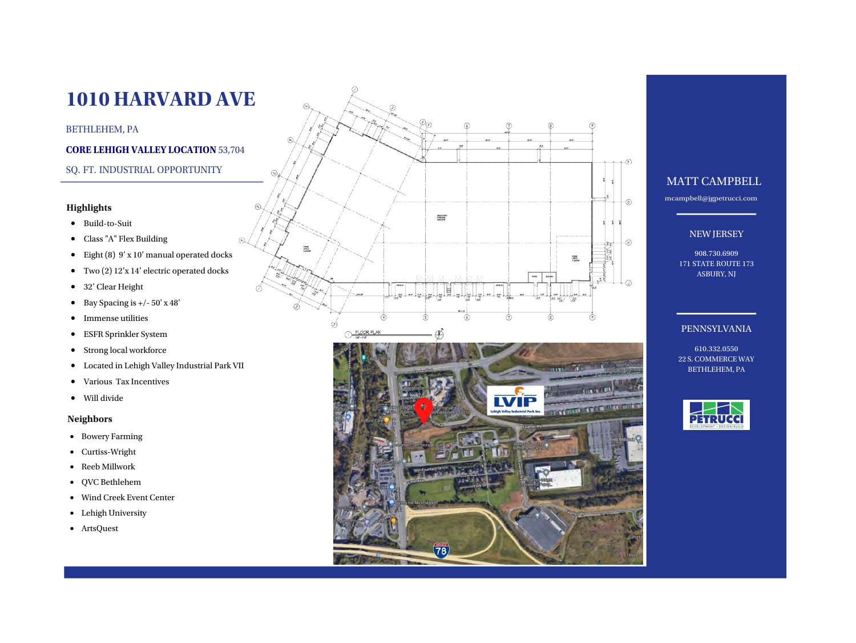# **Highlights**

- 
- 
- 
- 
- 
- 
- 
- 
- 
- Build-to-Suit<br>
Class "A" Flex Building<br>
Eight (8) 9' x 10' manual operated docks<br>
Two (2) 12'x 14' electric operated docks<br>
32' Clear Height<br>
Bay Spacing is  $+/-50'$  x 48'<br>
Immense utilities<br>
ESFR Sprinkler
- 
- 

- Bowery Farming
- Curtiss-Wright
- Reeb Millwork
- QVC Bethlehem
- Wind Creek Event Center
- Lehigh University
- ArtsQuest



 $\circledast$ 

⊙

SNAZ STORY<br>MARKARI<br>KADOR SP

⋒

78

Q.

ELOOR PLAN

Fature<br>Office<br>1 23009F

 $\left( 3\right)$ 

Ø.



# **1010 HARVARD AVE**

# BETHLEHEM, PA

## **CORE LEHIGH VALLEY LOCATION** 53,704

# SQ. FT. INDUSTRIAL OPPORTUNITY

# MATT CAMPBELL

mcam[pbell@jgpetrucci.com](mailto:jcorreia@jgpetrucci.com)

## NEW JERSEY

908.730.6909 171 STATE ROUTE 173 ASBURY, NJ

# PENNSYLVANIA

610.332.0550 22 S. COMMERCE WAY BETHLEHEM, PA